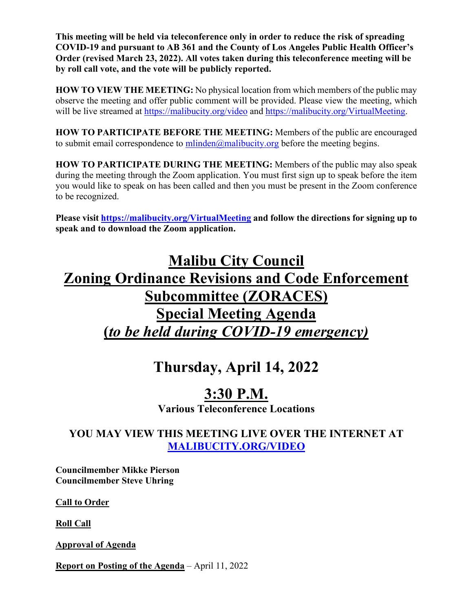**This meeting will be held via teleconference only in order to reduce the risk of spreading COVID-19 and pursuant to AB 361 and the County of Los Angeles Public Health Officer's Order (revised March 23, 2022). All votes taken during this teleconference meeting will be by roll call vote, and the vote will be publicly reported.** 

**HOW TO VIEW THE MEETING:** No physical location from which members of the public may observe the meeting and offer public comment will be provided. Please view the meeting, which will be live streamed at<https://malibucity.org/video> and [https://malibucity.org/VirtualMeeting.](https://malibucity.org/VirtualMeeting)

**HOW TO PARTICIPATE BEFORE THE MEETING:** Members of the public are encouraged to submit email correspondence to  $\frac{\text{m} \cdot \text{m} \cdot \text{m}}{\text{m} \cdot \text{m}}$  before the meeting begins.

**HOW TO PARTICIPATE DURING THE MEETING:** Members of the public may also speak during the meeting through the Zoom application. You must first sign up to speak before the item you would like to speak on has been called and then you must be present in the Zoom conference to be recognized.

**Please visit<https://malibucity.org/VirtualMeeting> and follow the directions for signing up to speak and to download the Zoom application.**

# **Malibu City Council Zoning Ordinance Revisions and Code Enforcement Subcommittee (ZORACES) Special Meeting Agenda (***to be held during COVID-19 emergency)*

## **Thursday, April 14, 2022**

## **3:30 P.M.**

**Various Teleconference Locations**

## **YOU MAY VIEW THIS MEETING LIVE OVER THE INTERNET AT [MALIBUCITY.ORG/VIDEO](http://www.malibucity.org/video)**

**Councilmember Mikke Pierson Councilmember Steve Uhring** 

**Call to Order**

**Roll Call**

**Approval of Agenda**

**Report on Posting of the Agenda** – April 11, 2022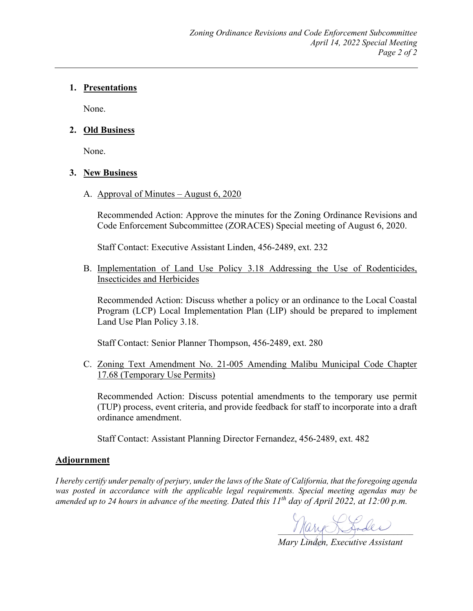#### **1. Presentations**

None.

#### **2. Old Business**

None.

#### **3. New Business**

A. Approval of Minutes – August 6, 2020

Recommended Action: Approve the minutes for the Zoning Ordinance Revisions and Code Enforcement Subcommittee (ZORACES) Special meeting of August 6, 2020.

Staff Contact: Executive Assistant Linden, 456-2489, ext. 232

B. Implementation of Land Use Policy 3.18 Addressing the Use of Rodenticides, Insecticides and Herbicides

Recommended Action: Discuss whether a policy or an ordinance to the Local Coastal Program (LCP) Local Implementation Plan (LIP) should be prepared to implement Land Use Plan Policy 3.18.

Staff Contact: Senior Planner Thompson, 456-2489, ext. 280

C. Zoning Text Amendment No. 21-005 Amending Malibu Municipal Code Chapter 17.68 (Temporary Use Permits)

Recommended Action: Discuss potential amendments to the temporary use permit (TUP) process, event criteria, and provide feedback for staff to incorporate into a draft ordinance amendment.

Staff Contact: Assistant Planning Director Fernandez, 456-2489, ext. 482

#### **Adjournment**

*I hereby certify under penalty of perjury, under the laws of the State of California, that the foregoing agenda was posted in accordance with the applicable legal requirements. Special meeting agendas may be amended up to 24 hours in advance of the meeting. Dated this 11th day of April 2022, at 12:00 p.m.*

Mary R. Lodes

*Mary Linden, Executive Assistant*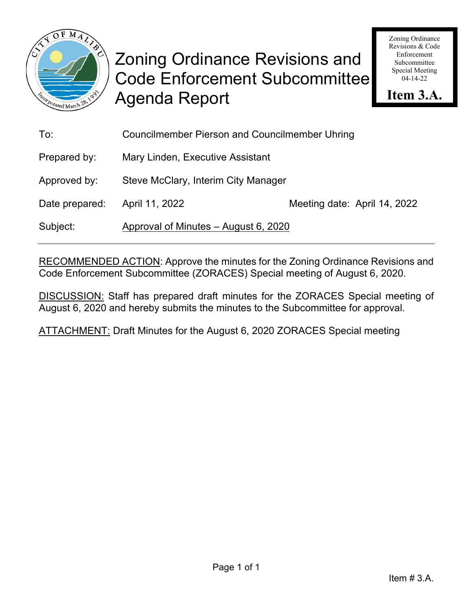

Zoning Ordinance Revisions & Code Enforcement Subcommittee Special Meeting 04-14-22

**Item 3.A.**

| To:            | <b>Councilmember Pierson and Councilmember Uhring</b> |                              |  |
|----------------|-------------------------------------------------------|------------------------------|--|
| Prepared by:   | Mary Linden, Executive Assistant                      |                              |  |
| Approved by:   | Steve McClary, Interim City Manager                   |                              |  |
| Date prepared: | April 11, 2022                                        | Meeting date: April 14, 2022 |  |
| Subject:       | Approval of Minutes - August 6, 2020                  |                              |  |

RECOMMENDED ACTION: Approve the minutes for the Zoning Ordinance Revisions and Code Enforcement Subcommittee (ZORACES) Special meeting of August 6, 2020.

DISCUSSION: Staff has prepared draft minutes for the ZORACES Special meeting of August 6, 2020 and hereby submits the minutes to the Subcommittee for approval.

ATTACHMENT: Draft Minutes for the August 6, 2020 ZORACES Special meeting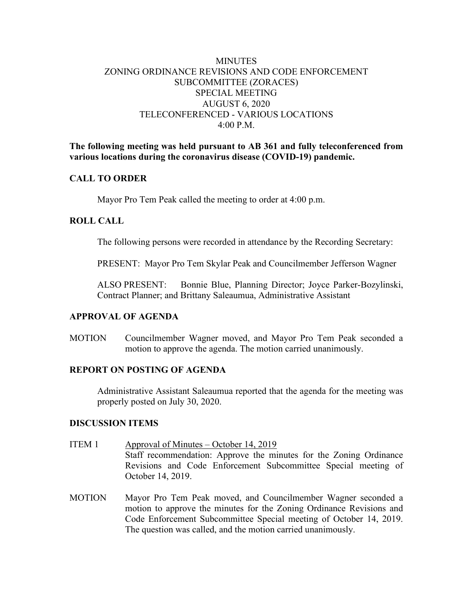#### **MINUTES** ZONING ORDINANCE REVISIONS AND CODE ENFORCEMENT SUBCOMMITTEE (ZORACES) SPECIAL MEETING AUGUST 6, 2020 TELECONFERENCED - VARIOUS LOCATIONS 4:00 P.M.

**The following meeting was held pursuant to AB 361 and fully teleconferenced from various locations during the coronavirus disease (COVID-19) pandemic.**

#### **CALL TO ORDER**

Mayor Pro Tem Peak called the meeting to order at 4:00 p.m.

#### **ROLL CALL**

The following persons were recorded in attendance by the Recording Secretary:

PRESENT: Mayor Pro Tem Skylar Peak and Councilmember Jefferson Wagner

ALSO PRESENT: Bonnie Blue, Planning Director; Joyce Parker-Bozylinski, Contract Planner; and Brittany Saleaumua, Administrative Assistant

#### **APPROVAL OF AGENDA**

MOTION Councilmember Wagner moved, and Mayor Pro Tem Peak seconded a motion to approve the agenda. The motion carried unanimously.

#### **REPORT ON POSTING OF AGENDA**

Administrative Assistant Saleaumua reported that the agenda for the meeting was properly posted on July 30, 2020.

#### **DISCUSSION ITEMS**

- ITEM 1 Approval of Minutes October 14, 2019 Staff recommendation: Approve the minutes for the Zoning Ordinance Revisions and Code Enforcement Subcommittee Special meeting of October 14, 2019.
- MOTION Mayor Pro Tem Peak moved, and Councilmember Wagner seconded a motion to approve the minutes for the Zoning Ordinance Revisions and Code Enforcement Subcommittee Special meeting of October 14, 2019. The question was called, and the motion carried unanimously.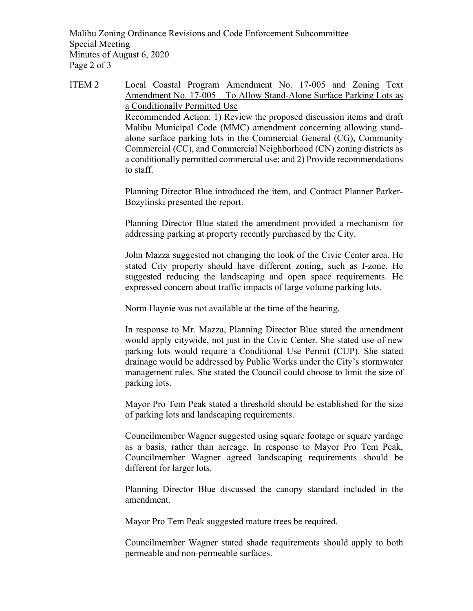Malibu Zoning Ordinance Revisions and Code Enforcement Subcommittee Special Meeting Minutes of August 6, 2020 Page 2 of 3

ITEM 2 Local Coastal Program Amendment No. 17-005 and Zoning Text Amendment No. 17-005 – To Allow Stand-Alone Surface Parking Lots as a Conditionally Permitted Use Recommended Action: 1) Review the proposed discussion items and draft Malibu Municipal Code (MMC) amendment concerning allowing standalone surface parking lots in the Commercial General (CG), Community Commercial (CC), and Commercial Neighborhood (CN) zoning districts as a conditionally permitted commercial use; and 2) Provide recommendations to staff.

> Planning Director Blue introduced the item, and Contract Planner Parker-Bozylinski presented the report.

> Planning Director Blue stated the amendment provided a mechanism for addressing parking at property recently purchased by the City.

> John Mazza suggested not changing the look of the Civic Center area. He stated City property should have different zoning, such as I-zone. He suggested reducing the landscaping and open space requirements. He expressed concern about traffic impacts of large volume parking lots.

Norm Haynie was not available at the time of the hearing.

In response to Mr. Mazza, Planning Director Blue stated the amendment would apply citywide, not just in the Civic Center. She stated use of new parking lots would require a Conditional Use Permit (CUP). She stated drainage would be addressed by Public Works under the City's stormwater management rules. She stated the Council could choose to limit the size of parking lots.

Mayor Pro Tem Peak stated a threshold should be established for the size of parking lots and landscaping requirements.

Councilmember Wagner suggested using square footage or square yardage as a basis, rather than acreage. In response to Mayor Pro Tem Peak, Councilmember Wagner agreed landscaping requirements should be different for larger lots.

Planning Director Blue discussed the canopy standard included in the amendment.

Mayor Pro Tem Peak suggested mature trees be required.

Councilmember Wagner stated shade requirements should apply to both permeable and non-permeable surfaces.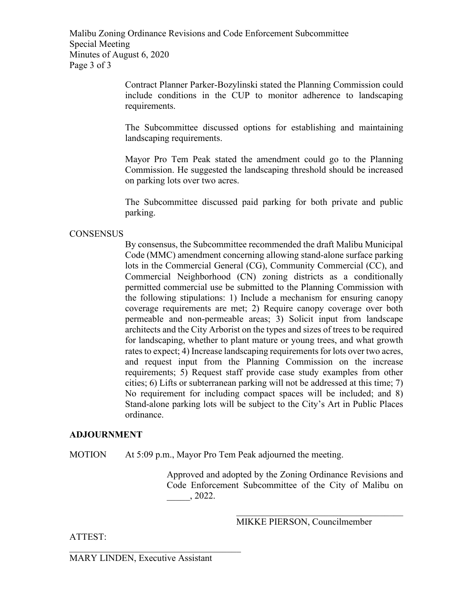Malibu Zoning Ordinance Revisions and Code Enforcement Subcommittee Special Meeting Minutes of August 6, 2020 Page 3 of 3

> Contract Planner Parker-Bozylinski stated the Planning Commission could include conditions in the CUP to monitor adherence to landscaping requirements.

> The Subcommittee discussed options for establishing and maintaining landscaping requirements.

> Mayor Pro Tem Peak stated the amendment could go to the Planning Commission. He suggested the landscaping threshold should be increased on parking lots over two acres.

> The Subcommittee discussed paid parking for both private and public parking.

#### **CONSENSUS**

By consensus, the Subcommittee recommended the draft Malibu Municipal Code (MMC) amendment concerning allowing stand-alone surface parking lots in the Commercial General (CG), Community Commercial (CC), and Commercial Neighborhood (CN) zoning districts as a conditionally permitted commercial use be submitted to the Planning Commission with the following stipulations: 1) Include a mechanism for ensuring canopy coverage requirements are met; 2) Require canopy coverage over both permeable and non-permeable areas; 3) Solicit input from landscape architects and the City Arborist on the types and sizes of trees to be required for landscaping, whether to plant mature or young trees, and what growth rates to expect; 4) Increase landscaping requirements for lots over two acres, and request input from the Planning Commission on the increase requirements; 5) Request staff provide case study examples from other cities; 6) Lifts or subterranean parking will not be addressed at this time; 7) No requirement for including compact spaces will be included; and 8) Stand-alone parking lots will be subject to the City's Art in Public Places ordinance.

#### **ADJOURNMENT**

MOTION At 5:09 p.m., Mayor Pro Tem Peak adjourned the meeting.

Approved and adopted by the Zoning Ordinance Revisions and Code Enforcement Subcommittee of the City of Malibu on \_\_\_\_\_, 2022.

MIKKE PIERSON, Councilmember

 $\mathcal{L}_\mathcal{L}$ 

ATTEST:

MARY LINDEN, Executive Assistant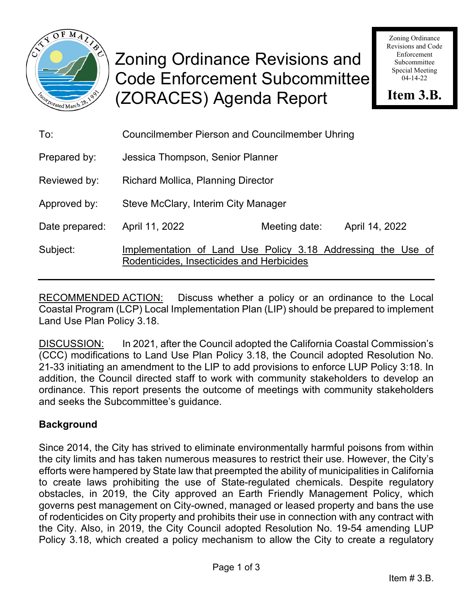

# Zoning Ordinance Revisions and Code Enforcement Subcommittee (ZORACES) Agenda Report

Zoning Ordinance Revisions and Code Enforcement Subcommittee Special Meeting 04-14-22

**Item 3.B.**

| To:            | <b>Councilmember Pierson and Councilmember Uhring</b>                                                     |               |                |  |  |
|----------------|-----------------------------------------------------------------------------------------------------------|---------------|----------------|--|--|
| Prepared by:   | Jessica Thompson, Senior Planner                                                                          |               |                |  |  |
| Reviewed by:   | Richard Mollica, Planning Director                                                                        |               |                |  |  |
| Approved by:   | Steve McClary, Interim City Manager                                                                       |               |                |  |  |
| Date prepared: | April 11, 2022                                                                                            | Meeting date: | April 14, 2022 |  |  |
| Subject:       | Implementation of Land Use Policy 3.18 Addressing the Use of<br>Rodenticides, Insecticides and Herbicides |               |                |  |  |

RECOMMENDED ACTION: Discuss whether a policy or an ordinance to the Local Coastal Program (LCP) Local Implementation Plan (LIP) should be prepared to implement Land Use Plan Policy 3.18.

DISCUSSION: In 2021, after the Council adopted the California Coastal Commission's (CCC) modifications to Land Use Plan Policy 3.18, the Council adopted Resolution No. 21-33 initiating an amendment to the LIP to add provisions to enforce LUP Policy 3:18. In addition, the Council directed staff to work with community stakeholders to develop an ordinance. This report presents the outcome of meetings with community stakeholders and seeks the Subcommittee's guidance.

## **Background**

Since 2014, the City has strived to eliminate environmentally harmful poisons from within the city limits and has taken numerous measures to restrict their use. However, the City's efforts were hampered by State law that preempted the ability of municipalities in California to create laws prohibiting the use of State-regulated chemicals. Despite regulatory obstacles, in 2019, the City approved an Earth Friendly Management Policy, which governs pest management on City-owned, managed or leased property and bans the use of rodenticides on City property and prohibits their use in connection with any contract with the City. Also, in 2019, the City Council adopted Resolution No. 19-54 amending LUP Policy 3.18, which created a policy mechanism to allow the City to create a regulatory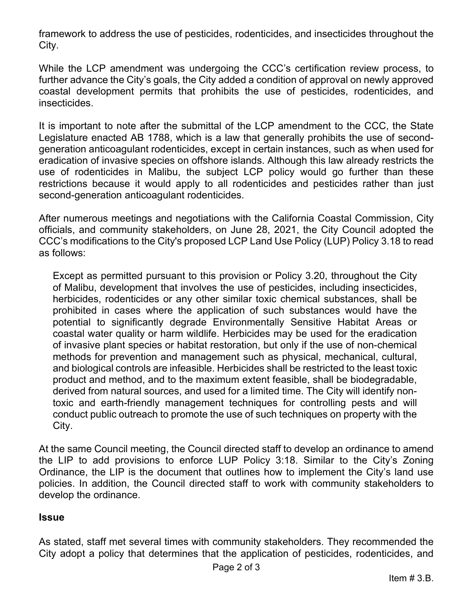framework to address the use of pesticides, rodenticides, and insecticides throughout the City.

While the LCP amendment was undergoing the CCC's certification review process, to further advance the City's goals, the City added a condition of approval on newly approved coastal development permits that prohibits the use of pesticides, rodenticides, and insecticides.

It is important to note after the submittal of the LCP amendment to the CCC, the State Legislature enacted AB 1788, which is a law that generally prohibits the use of secondgeneration anticoagulant rodenticides, except in certain instances, such as when used for eradication of invasive species on offshore islands. Although this law already restricts the use of rodenticides in Malibu, the subject LCP policy would go further than these restrictions because it would apply to all rodenticides and pesticides rather than just second-generation anticoagulant rodenticides.

After numerous meetings and negotiations with the California Coastal Commission, City officials, and community stakeholders, on June 28, 2021, the City Council adopted the CCC's [modifications](https://malibucity.org/DocumentCenter/View/28098/CCC-Resolution-of-Certification_CCC-Suggested-Modifications-to-LCPA-14-001) to the City's proposed LCP Land Use Policy (LUP) Policy 3.18 to read as follows:

Except as permitted pursuant to this provision or Policy 3.20, throughout the City of Malibu, development that involves the use of pesticides, including insecticides, herbicides, rodenticides or any other similar toxic chemical substances, shall be prohibited in cases where the application of such substances would have the potential to significantly degrade Environmentally Sensitive Habitat Areas or coastal water quality or harm wildlife. Herbicides may be used for the eradication of invasive plant species or habitat restoration, but only if the use of non-chemical methods for prevention and management such as physical, mechanical, cultural, and biological controls are infeasible. Herbicides shall be restricted to the least toxic product and method, and to the maximum extent feasible, shall be biodegradable, derived from natural sources, and used for a limited time. The City will identify nontoxic and earth-friendly management techniques for controlling pests and will conduct public outreach to promote the use of such techniques on property with the City.

At the same Council meeting, the Council directed staff to develop an ordinance to amend the LIP to add provisions to enforce LUP Policy 3:18. Similar to the City's Zoning Ordinance, the LIP is the document that outlines how to implement the City's land use policies. In addition, the Council directed staff to work with community stakeholders to develop the ordinance.

### **Issue**

As stated, staff met several times with community stakeholders. They recommended the City adopt a policy that determines that the application of pesticides, rodenticides, and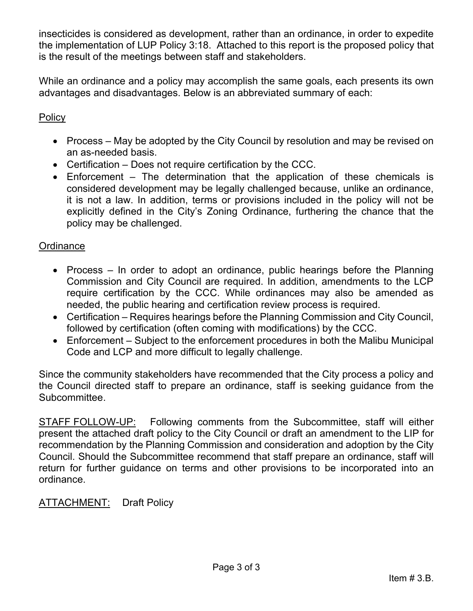insecticides is considered as development, rather than an ordinance, in order to expedite the implementation of LUP Policy 3:18. Attached to this report is the proposed policy that is the result of the meetings between staff and stakeholders.

While an ordinance and a policy may accomplish the same goals, each presents its own advantages and disadvantages. Below is an abbreviated summary of each:

## **Policy**

- Process May be adopted by the City Council by resolution and may be revised on an as-needed basis.
- Certification Does not require certification by the CCC.
- Enforcement The determination that the application of these chemicals is considered development may be legally challenged because, unlike an ordinance, it is not a law. In addition, terms or provisions included in the policy will not be explicitly defined in the City's Zoning Ordinance, furthering the chance that the policy may be challenged.

### **Ordinance**

- Process In order to adopt an ordinance, public hearings before the Planning Commission and City Council are required. In addition, amendments to the LCP require certification by the CCC. While ordinances may also be amended as needed, the public hearing and certification review process is required.
- Certification Requires hearings before the Planning Commission and City Council, followed by certification (often coming with modifications) by the CCC.
- Enforcement Subject to the enforcement procedures in both the Malibu Municipal Code and LCP and more difficult to legally challenge.

Since the community stakeholders have recommended that the City process a policy and the Council directed staff to prepare an ordinance, staff is seeking guidance from the Subcommittee.

STAFF FOLLOW-UP: Following comments from the Subcommittee, staff will either present the attached draft policy to the City Council or draft an amendment to the LIP for recommendation by the Planning Commission and consideration and adoption by the City Council. Should the Subcommittee recommend that staff prepare an ordinance, staff will return for further guidance on terms and other provisions to be incorporated into an ordinance.

**ATTACHMENT:** Draft Policy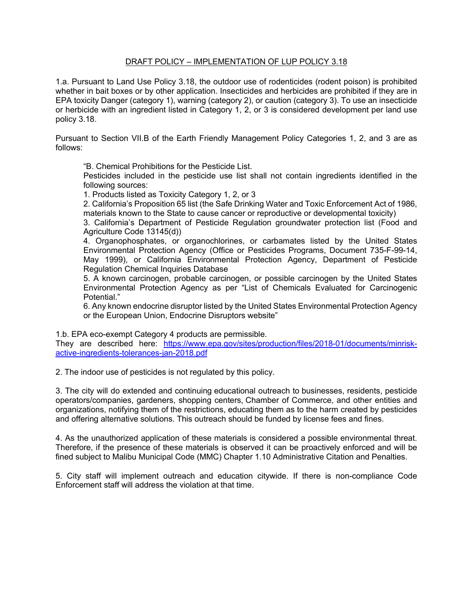#### DRAFT POLICY – IMPLEMENTATION OF LUP POLICY 3.18

1.a. Pursuant to Land Use Policy 3.18, the outdoor use of rodenticides (rodent poison) is prohibited whether in bait boxes or by other application. Insecticides and herbicides are prohibited if they are in EPA toxicity Danger (category 1), warning (category 2), or caution (category 3). To use an insecticide or herbicide with an ingredient listed in Category 1, 2, or 3 is considered development per land use policy 3.18.

Pursuant to Section VII.B of the Earth Friendly Management Policy Categories 1, 2, and 3 are as follows:

"B. Chemical Prohibitions for the Pesticide List.

Pesticides included in the pesticide use list shall not contain ingredients identified in the following sources:

1. Products listed as Toxicity Category 1, 2, or 3

2. California's Proposition 65 list (the Safe Drinking Water and Toxic Enforcement Act of 1986, materials known to the State to cause cancer or reproductive or developmental toxicity)

3. California's Department of Pesticide Regulation groundwater protection list (Food and Agriculture Code 13145(d))

4. Organophosphates, or organochlorines, or carbamates listed by the United States Environmental Protection Agency (Office or Pesticides Programs, Document 735-F-99-14, May 1999), or California Environmental Protection Agency, Department of Pesticide Regulation Chemical Inquiries Database

5. A known carcinogen, probable carcinogen, or possible carcinogen by the United States Environmental Protection Agency as per "List of Chemicals Evaluated for Carcinogenic Potential."

6. Any known endocrine disruptor listed by the United States Environmental Protection Agency or the European Union, Endocrine Disruptors website"

1.b. EPA eco-exempt Category 4 products are permissible.

They are described here: [https://www.epa.gov/sites/production/files/2018-01/documents/minrisk](https://www.epa.gov/sites/production/files/2018-01/documents/minrisk-active-ingredients-tolerances-jan-2018.pdf)[active-ingredients-tolerances-jan-2018.pdf](https://www.epa.gov/sites/production/files/2018-01/documents/minrisk-active-ingredients-tolerances-jan-2018.pdf)

2. The indoor use of pesticides is not regulated by this policy.

3. The city will do extended and continuing educational outreach to businesses, residents, pesticide operators/companies, gardeners, shopping centers, Chamber of Commerce, and other entities and organizations, notifying them of the restrictions, educating them as to the harm created by pesticides and offering alternative solutions. This outreach should be funded by license fees and fines.

4. As the unauthorized application of these materials is considered a possible environmental threat. Therefore, if the presence of these materials is observed it can be proactively enforced and will be fined subject to Malibu Municipal Code (MMC) Chapter 1.10 Administrative Citation and Penalties.

5. City staff will implement outreach and education citywide. If there is non-compliance Code Enforcement staff will address the violation at that time.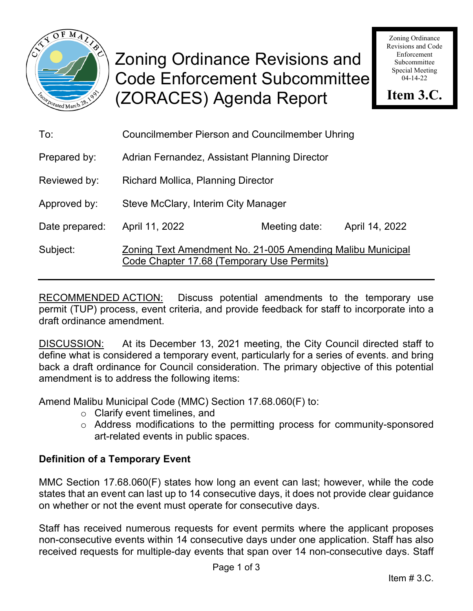

# Zoning Ordinance Revisions and Code Enforcement Subcommittee (ZORACES) Agenda Report

Zoning Ordinance Revisions and Code Enforcement Subcommittee Special Meeting 04-14-22

**Item 3.C.**

| To:            | <b>Councilmember Pierson and Councilmember Uhring</b>                                                    |               |                |  |
|----------------|----------------------------------------------------------------------------------------------------------|---------------|----------------|--|
| Prepared by:   | Adrian Fernandez, Assistant Planning Director                                                            |               |                |  |
| Reviewed by:   | Richard Mollica, Planning Director                                                                       |               |                |  |
| Approved by:   | Steve McClary, Interim City Manager                                                                      |               |                |  |
| Date prepared: | April 11, 2022                                                                                           | Meeting date: | April 14, 2022 |  |
| Subject:       | Zoning Text Amendment No. 21-005 Amending Malibu Municipal<br>Code Chapter 17.68 (Temporary Use Permits) |               |                |  |

RECOMMENDED ACTION: Discuss potential amendments to the temporary use permit (TUP) process, event criteria, and provide feedback for staff to incorporate into a draft ordinance amendment.

DISCUSSION: At its December 13, 2021 meeting, the City Council directed staff to define what is considered a temporary event, particularly for a series of events. and bring back a draft ordinance for Council consideration. The primary objective of this potential amendment is to address the following items:

Amend Malibu Municipal Code (MMC) Section 17.68.060(F) to:

- o Clarify event timelines, and
- o Address modifications to the permitting process for community-sponsored art-related events in public spaces.

## **Definition of a Temporary Event**

MMC Section 17.68.060(F) states how long an event can last; however, while the code states that an event can last up to 14 consecutive days, it does not provide clear guidance on whether or not the event must operate for consecutive days.

Staff has received numerous requests for event permits where the applicant proposes non-consecutive events within 14 consecutive days under one application. Staff has also received requests for multiple-day events that span over 14 non-consecutive days. Staff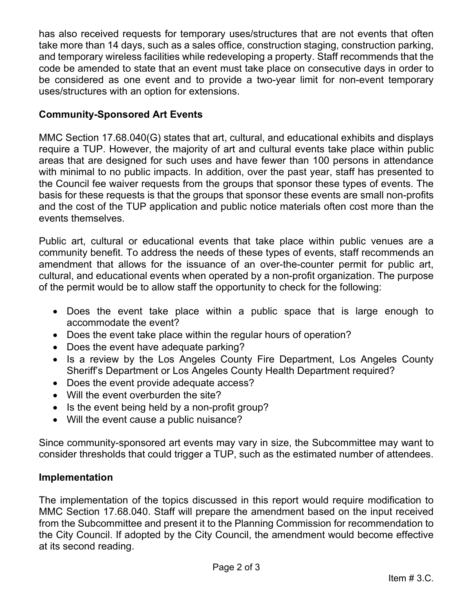has also received requests for temporary uses/structures that are not events that often take more than 14 days, such as a sales office, construction staging, construction parking, and temporary wireless facilities while redeveloping a property. Staff recommends that the code be amended to state that an event must take place on consecutive days in order to be considered as one event and to provide a two-year limit for non-event temporary uses/structures with an option for extensions.

## **Community-Sponsored Art Events**

MMC Section 17.68.040(G) states that art, cultural, and educational exhibits and displays require a TUP. However, the majority of art and cultural events take place within public areas that are designed for such uses and have fewer than 100 persons in attendance with minimal to no public impacts. In addition, over the past year, staff has presented to the Council fee waiver requests from the groups that sponsor these types of events. The basis for these requests is that the groups that sponsor these events are small non-profits and the cost of the TUP application and public notice materials often cost more than the events themselves.

Public art, cultural or educational events that take place within public venues are a community benefit. To address the needs of these types of events, staff recommends an amendment that allows for the issuance of an over-the-counter permit for public art, cultural, and educational events when operated by a non-profit organization. The purpose of the permit would be to allow staff the opportunity to check for the following:

- Does the event take place within a public space that is large enough to accommodate the event?
- Does the event take place within the regular hours of operation?
- Does the event have adequate parking?
- Is a review by the Los Angeles County Fire Department, Los Angeles County Sheriff's Department or Los Angeles County Health Department required?
- Does the event provide adequate access?
- Will the event overburden the site?
- Is the event being held by a non-profit group?
- Will the event cause a public nuisance?

Since community-sponsored art events may vary in size, the Subcommittee may want to consider thresholds that could trigger a TUP, such as the estimated number of attendees.

## **Implementation**

The implementation of the topics discussed in this report would require modification to MMC Section 17.68.040. Staff will prepare the amendment based on the input received from the Subcommittee and present it to the Planning Commission for recommendation to the City Council. If adopted by the City Council, the amendment would become effective at its second reading.